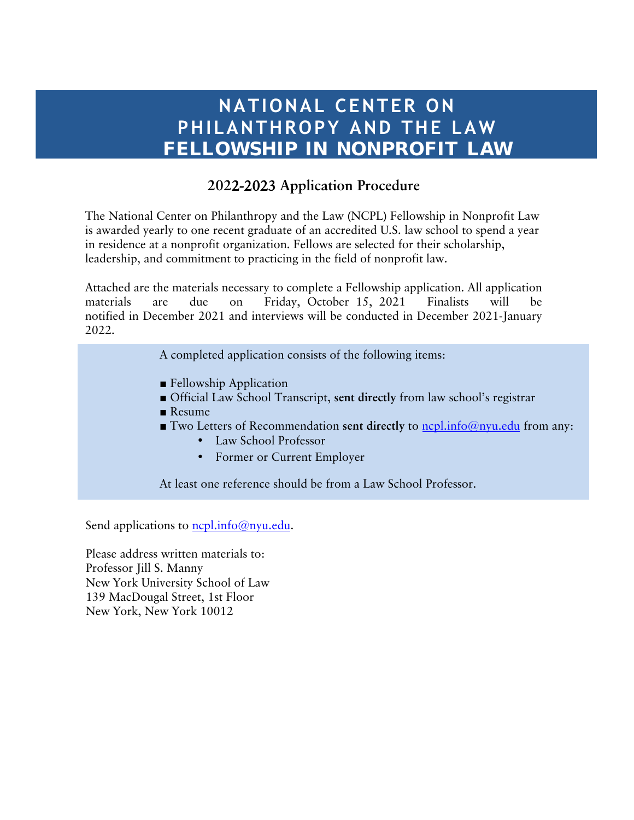# **NATIONAL CENTER ON PHILANTHROPY AND THE LAW FELLOWSHIP IN NONPROFIT LAW**

### **202**2-2023 **Application Procedure**

The National Center on Philanthropy and the Law (NCPL) Fellowship in Nonprofit Law is awarded yearly to one recent graduate of an accredited U.S. law school to spend a year in residence at a nonprofit organization. Fellows are selected for their scholarship, leadership, and commitment to practicing in the field of nonprofit law.

Attached are the materials necessary to complete a Fellowship application. All application materials are due on Friday, October 15, 2021 Finalists will be notified in December 2021 and interviews will be conducted in December 2021-January 2022.

A completed application consists of the following items:

- Fellowship Application
- Official Law School Transcript, **sent directly** from law school's registrar
- Resume
- Two Letters of Recommendation sent directly to <u>ncpl.info@nyu.edu</u> from any:
	- Law School Professor
	- Former or Current Employer

At least one reference should be from a Law School Professor.

Send applications to  $ncl.info@nyu.edu$ .

Please address written materials to: Professor Jill S. Manny New York University School of Law 139 MacDougal Street, 1st Floor New York, New York 10012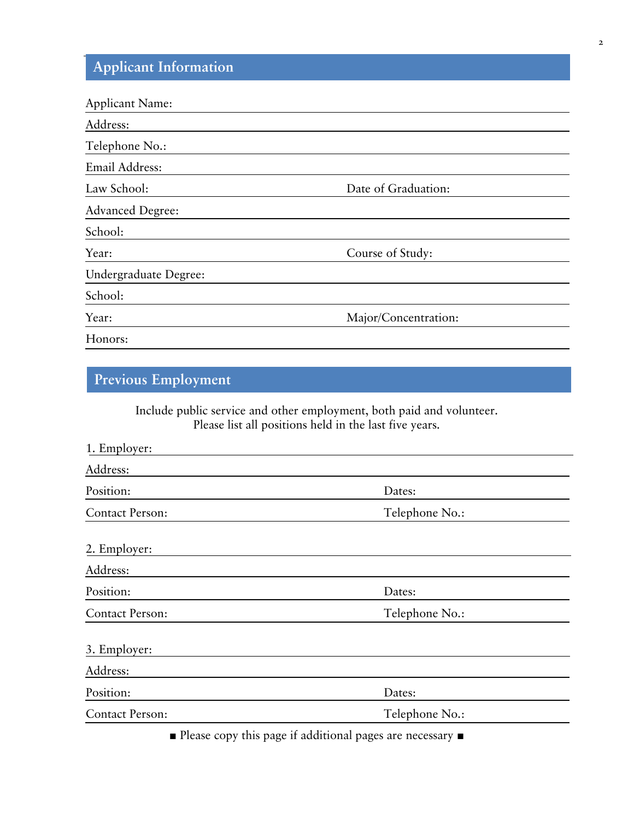## **Applicant Information**

| <b>Applicant Name:</b>  |                      |
|-------------------------|----------------------|
| Address:                |                      |
| Telephone No.:          |                      |
| Email Address:          |                      |
| Law School:             | Date of Graduation:  |
| <b>Advanced Degree:</b> |                      |
| School:                 |                      |
| Year:                   | Course of Study:     |
| Undergraduate Degree:   |                      |
| School:                 |                      |
| Year:                   | Major/Concentration: |
| Honors:                 |                      |

## **Previous Employment**

Include public service and other employment, both paid and volunteer. Please list all positions held in the last five years.

| 1. Employer:           |                                                         |
|------------------------|---------------------------------------------------------|
| Address:               |                                                         |
| Position:              | Dates:                                                  |
| <b>Contact Person:</b> | Telephone No.:                                          |
| 2. Employer:           |                                                         |
| Address:               |                                                         |
| Position:              | Dates:                                                  |
| <b>Contact Person:</b> | Telephone No.:                                          |
| 3. Employer:           |                                                         |
| Address:               |                                                         |
| Position:              | Dates:                                                  |
| <b>Contact Person:</b> | Telephone No.:                                          |
|                        | Dlasse some this name if additional names and necessary |

■ Please copy this page if additional pages are necessary ■